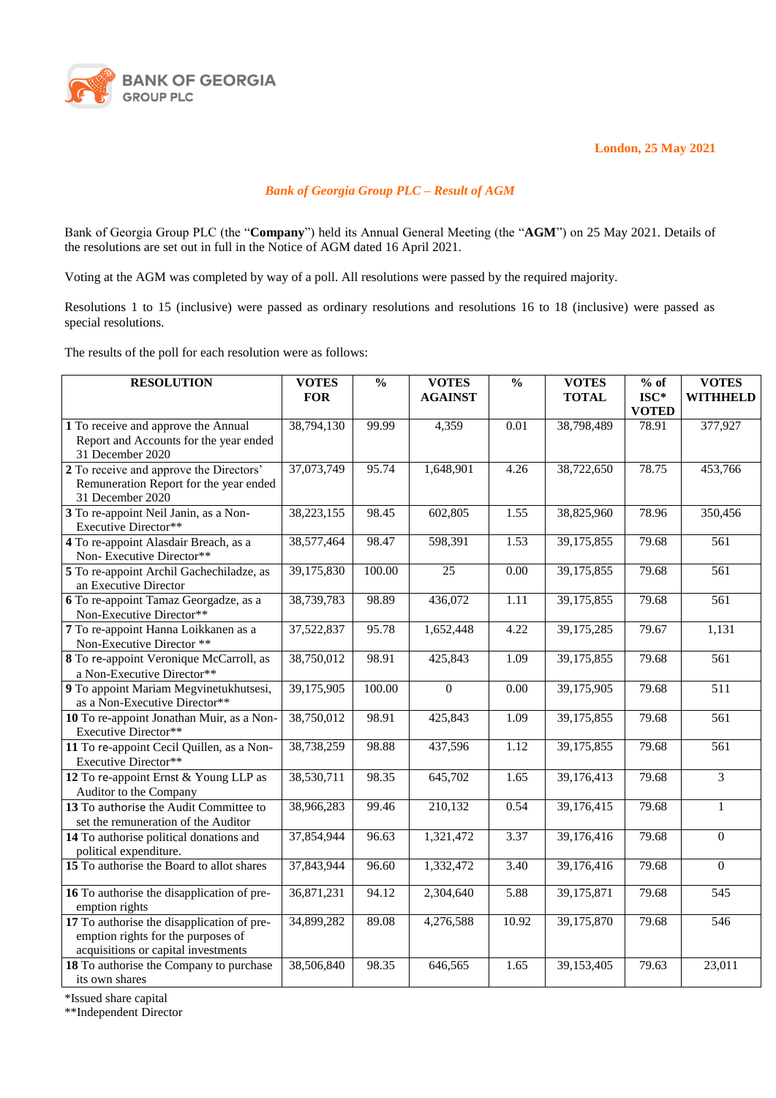

**London, 25 May 2021**

## *Bank of Georgia Group PLC – Result of AGM*

Bank of Georgia Group PLC (the "**Company**") held its Annual General Meeting (the "**AGM**") on 25 May 2021. Details of the resolutions are set out in full in the Notice of AGM dated 16 April 2021.

Voting at the AGM was completed by way of a poll. All resolutions were passed by the required majority.

Resolutions 1 to 15 (inclusive) were passed as ordinary resolutions and resolutions 16 to 18 (inclusive) were passed as special resolutions.

The results of the poll for each resolution were as follows:

| <b>RESOLUTION</b>                                                                                                       | <b>VOTES</b> | $\frac{0}{0}$ | <b>VOTES</b>   | $\frac{0}{0}$ | <b>VOTES</b> | $%$ of                | <b>VOTES</b>     |
|-------------------------------------------------------------------------------------------------------------------------|--------------|---------------|----------------|---------------|--------------|-----------------------|------------------|
|                                                                                                                         | <b>FOR</b>   |               | <b>AGAINST</b> |               | <b>TOTAL</b> | $ISC*$                | <b>WITHHELD</b>  |
| 1 To receive and approve the Annual                                                                                     | 38,794,130   | 99.99         | 4,359          | 0.01          | 38,798,489   | <b>VOTED</b><br>78.91 | 377,927          |
| Report and Accounts for the year ended<br>31 December 2020                                                              |              |               |                |               |              |                       |                  |
| 2 To receive and approve the Directors'<br>Remuneration Report for the year ended<br>31 December 2020                   | 37,073,749   | 95.74         | 1,648,901      | 4.26          | 38,722,650   | 78.75                 | 453,766          |
| 3 To re-appoint Neil Janin, as a Non-<br>Executive Director**                                                           | 38,223,155   | 98.45         | 602,805        | 1.55          | 38,825,960   | 78.96                 | 350,456          |
| 4 To re-appoint Alasdair Breach, as a<br>Non-Executive Director**                                                       | 38,577,464   | 98.47         | 598,391        | 1.53          | 39,175,855   | 79.68                 | 561              |
| 5 To re-appoint Archil Gachechiladze, as<br>an Executive Director                                                       | 39,175,830   | 100.00        | 25             | 0.00          | 39,175,855   | 79.68                 | 561              |
| 6 To re-appoint Tamaz Georgadze, as a<br>Non-Executive Director**                                                       | 38,739,783   | 98.89         | 436,072        | 1.11          | 39,175,855   | 79.68                 | 561              |
| 7 To re-appoint Hanna Loikkanen as a<br>Non-Executive Director **                                                       | 37,522,837   | 95.78         | 1,652,448      | 4.22          | 39,175,285   | 79.67                 | 1,131            |
| 8 To re-appoint Veronique McCarroll, as<br>a Non-Executive Director**                                                   | 38,750,012   | 98.91         | 425,843        | 1.09          | 39,175,855   | 79.68                 | $\overline{561}$ |
| 9 To appoint Mariam Megvinetukhutsesi,<br>as a Non-Executive Director**                                                 | 39,175,905   | 100.00        | $\overline{0}$ | 0.00          | 39,175,905   | 79.68                 | 511              |
| 10 To re-appoint Jonathan Muir, as a Non-<br><b>Executive Director**</b>                                                | 38,750,012   | 98.91         | 425,843        | 1.09          | 39,175,855   | 79.68                 | 561              |
| 11 To re-appoint Cecil Quillen, as a Non-<br>Executive Director**                                                       | 38,738,259   | 98.88         | 437,596        | 1.12          | 39,175,855   | 79.68                 | 561              |
| 12 To re-appoint Ernst & Young LLP as<br>Auditor to the Company                                                         | 38,530,711   | 98.35         | 645,702        | 1.65          | 39,176,413   | 79.68                 | 3                |
| 13 To authorise the Audit Committee to<br>set the remuneration of the Auditor                                           | 38,966,283   | 99.46         | 210,132        | 0.54          | 39,176,415   | 79.68                 | $\mathbf{1}$     |
| 14 To authorise political donations and<br>political expenditure.                                                       | 37,854,944   | 96.63         | 1,321,472      | 3.37          | 39,176,416   | 79.68                 | $\overline{0}$   |
| 15 To authorise the Board to allot shares                                                                               | 37,843,944   | 96.60         | 1,332,472      | 3.40          | 39,176,416   | 79.68                 | $\mathbf{0}$     |
| 16 To authorise the disapplication of pre-<br>emption rights                                                            | 36,871,231   | 94.12         | 2,304,640      | 5.88          | 39,175,871   | 79.68                 | $\overline{545}$ |
| 17 To authorise the disapplication of pre-<br>emption rights for the purposes of<br>acquisitions or capital investments | 34,899,282   | 89.08         | 4,276,588      | 10.92         | 39,175,870   | 79.68                 | 546              |
| 18 To authorise the Company to purchase<br>its own shares                                                               | 38,506,840   | 98.35         | 646,565        | 1.65          | 39,153,405   | 79.63                 | 23,011           |

\*Issued share capital

\*\*Independent Director